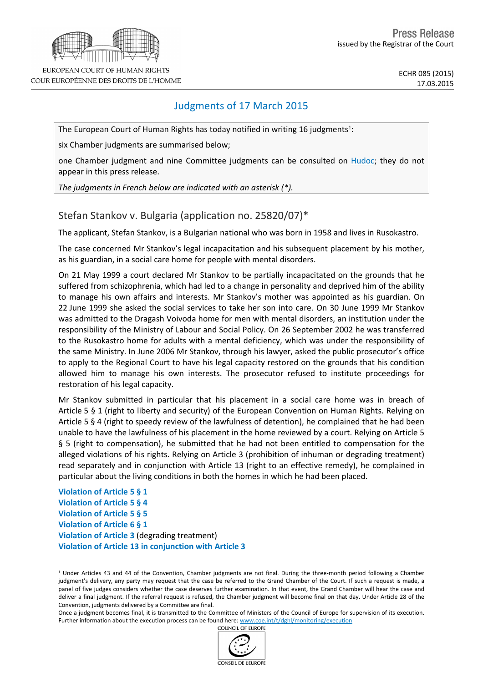

EUROPEAN COURT OF HUMAN RIGHTS COUR EUROPÉENNE DES DROITS DE L'HOMME

ECHR 085 (2015) 17.03.2015

# Judgments of 17 March 2015

The European Court of Human Rights has today notified in writing 16 judgments<sup>1</sup>:

six Chamber judgments are summarised below;

one Chamber judgment and nine Committee judgments can be consulted on [Hudoc;](http://hudoc.echr.coe.int/sites/eng/Pages/search.aspx#%7B) they do not appear in this press release.

*The judgments in French below are indicated with an asterisk (\*).*

## Stefan Stankov v. Bulgaria (application no. 25820/07)\*

The applicant, Stefan Stankov, is a Bulgarian national who was born in 1958 and lives in Rusokastro.

The case concerned Mr Stankov's legal incapacitation and his subsequent placement by his mother, as his guardian, in a social care home for people with mental disorders.

On 21 May 1999 a court declared Mr Stankov to be partially incapacitated on the grounds that he suffered from schizophrenia, which had led to a change in personality and deprived him of the ability to manage his own affairs and interests. Mr Stankov's mother was appointed as his guardian. On 22 June 1999 she asked the social services to take her son into care. On 30 June 1999 Mr Stankov was admitted to the Dragash Voivoda home for men with mental disorders, an institution under the responsibility of the Ministry of Labour and Social Policy. On 26 September 2002 he was transferred to the Rusokastro home for adults with a mental deficiency, which was under the responsibility of the same Ministry. In June 2006 Mr Stankov, through his lawyer, asked the public prosecutor's office to apply to the Regional Court to have his legal capacity restored on the grounds that his condition allowed him to manage his own interests. The prosecutor refused to institute proceedings for restoration of his legal capacity.

Mr Stankov submitted in particular that his placement in a social care home was in breach of Article 5 § 1 (right to liberty and security) of the European Convention on Human Rights. Relying on Article 5 § 4 (right to speedy review of the lawfulness of detention), he complained that he had been unable to have the lawfulness of his placement in the home reviewed by a court. Relying on Article 5 § 5 (right to compensation), he submitted that he had not been entitled to compensation for the alleged violations of his rights. Relying on Article 3 (prohibition of inhuman or degrading treatment) read separately and in conjunction with Article 13 (right to an effective remedy), he complained in particular about the living conditions in both the homes in which he had been placed.

**Violation of Article 5 § 1 Violation of Article 5 § 4 Violation of Article 5 § 5 Violation of Article 6 § 1 Violation of Article 3** (degrading treatment) **Violation of Article 13 in conjunction with Article 3**

<sup>1</sup> Under Articles 43 and 44 of the Convention, Chamber judgments are not final. During the three-month period following a Chamber judgment's delivery, any party may request that the case be referred to the Grand Chamber of the Court. If such a request is made, a panel of five judges considers whether the case deserves further examination. In that event, the Grand Chamber will hear the case and deliver a final judgment. If the referral request is refused, the Chamber judgment will become final on that day. Under Article 28 of the Convention, judgments delivered by a Committee are final.

Once a judgment becomes final, it is transmitted to the Committee of Ministers of the Council of Europe for supervision of its execution. Further information about the execution process can be found here: [www.coe.int/t/dghl/monitoring/execution](http://www.coe.int/t/dghl/monitoring/execution#_blank)

COUNCIL OF EUROPE

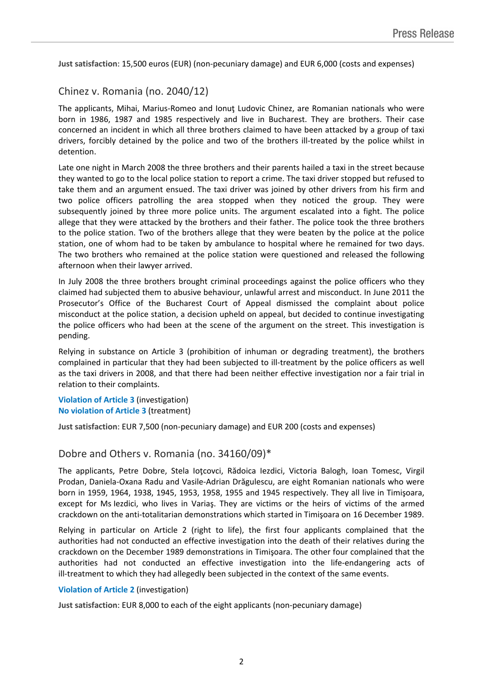**Just satisfaction**: 15,500 euros (EUR) (non-pecuniary damage) and EUR 6,000 (costs and expenses)

### Chinez v. Romania (no. 2040/12)

The applicants, Mihai, Marius-Romeo and Ionuţ Ludovic Chinez, are Romanian nationals who were born in 1986, 1987 and 1985 respectively and live in Bucharest. They are brothers. Their case concerned an incident in which all three brothers claimed to have been attacked by a group of taxi drivers, forcibly detained by the police and two of the brothers ill-treated by the police whilst in detention.

Late one night in March 2008 the three brothers and their parents hailed a taxi in the street because they wanted to go to the local police station to report a crime. The taxi driver stopped but refused to take them and an argument ensued. The taxi driver was joined by other drivers from his firm and two police officers patrolling the area stopped when they noticed the group. They were subsequently joined by three more police units. The argument escalated into a fight. The police allege that they were attacked by the brothers and their father. The police took the three brothers to the police station. Two of the brothers allege that they were beaten by the police at the police station, one of whom had to be taken by ambulance to hospital where he remained for two days. The two brothers who remained at the police station were questioned and released the following afternoon when their lawyer arrived.

In July 2008 the three brothers brought criminal proceedings against the police officers who they claimed had subjected them to abusive behaviour, unlawful arrest and misconduct. In June 2011 the Prosecutor's Office of the Bucharest Court of Appeal dismissed the complaint about police misconduct at the police station, a decision upheld on appeal, but decided to continue investigating the police officers who had been at the scene of the argument on the street. This investigation is pending.

Relying in substance on Article 3 (prohibition of inhuman or degrading treatment), the brothers complained in particular that they had been subjected to ill-treatment by the police officers as well as the taxi drivers in 2008, and that there had been neither effective investigation nor a fair trial in relation to their complaints.

**Violation of Article 3** (investigation) **No violation of Article 3** (treatment)

**Just satisfaction**: EUR 7,500 (non-pecuniary damage) and EUR 200 (costs and expenses)

### Dobre and Others v. Romania (no. 34160/09)\*

The applicants, Petre Dobre, Stela Ioţcovci, Rădoica Iezdici, Victoria Balogh, Ioan Tomesc, Virgil Prodan, Daniela-Oxana Radu and Vasile-Adrian Drăgulescu, are eight Romanian nationals who were born in 1959, 1964, 1938, 1945, 1953, 1958, 1955 and 1945 respectively. They all live in Timişoara, except for Ms Iezdici, who lives in Variaş. They are victims or the heirs of victims of the armed crackdown on the anti-totalitarian demonstrations which started in Timişoara on 16 December 1989.

Relying in particular on Article 2 (right to life), the first four applicants complained that the authorities had not conducted an effective investigation into the death of their relatives during the crackdown on the December 1989 demonstrations in Timişoara. The other four complained that the authorities had not conducted an effective investigation into the life-endangering acts of ill-treatment to which they had allegedly been subjected in the context of the same events.

#### **Violation of Article 2** (investigation)

**Just satisfaction**: EUR 8,000 to each of the eight applicants (non-pecuniary damage)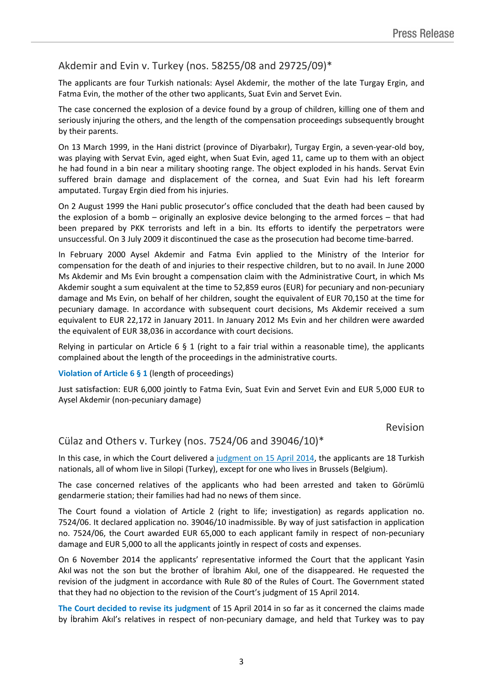## Akdemir and Evin v. Turkey (nos. 58255/08 and 29725/09)\*

The applicants are four Turkish nationals: Aysel Akdemir, the mother of the late Turgay Ergin, and Fatma Evin, the mother of the other two applicants, Suat Evin and Servet Evin.

The case concerned the explosion of a device found by a group of children, killing one of them and seriously injuring the others, and the length of the compensation proceedings subsequently brought by their parents.

On 13 March 1999, in the Hani district (province of Diyarbakır), Turgay Ergin, a seven-year-old boy, was playing with Servat Evin, aged eight, when Suat Evin, aged 11, came up to them with an object he had found in a bin near a military shooting range. The object exploded in his hands. Servat Evin suffered brain damage and displacement of the cornea, and Suat Evin had his left forearm amputated. Turgay Ergin died from his injuries.

On 2 August 1999 the Hani public prosecutor's office concluded that the death had been caused by the explosion of a bomb – originally an explosive device belonging to the armed forces – that had been prepared by PKK terrorists and left in a bin. Its efforts to identify the perpetrators were unsuccessful. On 3 July 2009 it discontinued the case as the prosecution had become time-barred.

In February 2000 Aysel Akdemir and Fatma Evin applied to the Ministry of the Interior for compensation for the death of and injuries to their respective children, but to no avail. In June 2000 Ms Akdemir and Ms Evin brought a compensation claim with the Administrative Court, in which Ms Akdemir sought a sum equivalent at the time to 52,859 euros (EUR) for pecuniary and non-pecuniary damage and Ms Evin, on behalf of her children, sought the equivalent of EUR 70,150 at the time for pecuniary damage. In accordance with subsequent court decisions, Ms Akdemir received a sum equivalent to EUR 22,172 in January 2011. In January 2012 Ms Evin and her children were awarded the equivalent of EUR 38,036 in accordance with court decisions.

Relying in particular on Article 6  $\S$  1 (right to a fair trial within a reasonable time), the applicants complained about the length of the proceedings in the administrative courts.

#### **Violation of Article 6 § 1** (length of proceedings)

**Just satisfaction**: EUR 6,000 jointly to Fatma Evin, Suat Evin and Servet Evin and EUR 5,000 EUR to Aysel Akdemir (non-pecuniary damage)

Revision

### Cülaz and Others v. Turkey (nos. 7524/06 and 39046/10)\*

In this case, in which the Court delivered a [judgment](ttp://hudoc.echr.coe.int/sites/eng/pages/search.aspx?i=003-4733833-5752598) [on](ttp://hudoc.echr.coe.int/sites/eng/pages/search.aspx?i=003-4733833-5752598) [15](ttp://hudoc.echr.coe.int/sites/eng/pages/search.aspx?i=003-4733833-5752598) [April](ttp://hudoc.echr.coe.int/sites/eng/pages/search.aspx?i=003-4733833-5752598) [2014](ttp://hudoc.echr.coe.int/sites/eng/pages/search.aspx?i=003-4733833-5752598), the applicants are 18 Turkish nationals, all of whom live in Silopi (Turkey), except for one who lives in Brussels (Belgium).

The case concerned relatives of the applicants who had been arrested and taken to Görümlü gendarmerie station; their families had had no news of them since.

The Court found a violation of Article 2 (right to life; investigation) as regards application no. 7524/06. It declared application no. 39046/10 inadmissible. By way of just satisfaction in application no. 7524/06, the Court awarded EUR 65,000 to each applicant family in respect of non-pecuniary damage and EUR 5,000 to all the applicants jointly in respect of costs and expenses.

On 6 November 2014 the applicants' representative informed the Court that the applicant Yasin Akıl was not the son but the brother of İbrahim Akıl, one of the disappeared. He requested the revision of the judgment in accordance with Rule 80 of the Rules of Court. The Government stated that they had no objection to the revision of the Court's judgment of 15 April 2014.

**The Court decided to revise its judgment** of 15 April 2014 in so far as it concerned the claims made by İbrahim Akıl's relatives in respect of non-pecuniary damage, and held that Turkey was to pay